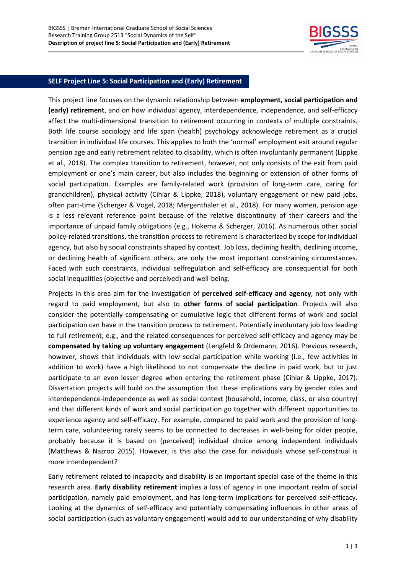

## **SELF Project Line 5: Social Participation and (Early) Retirement**

This project line focuses on the dynamic relationship between **employment, social participation and (early) retirement**, and on how individual agency, interdependence, independence, and self-efficacy affect the multi-dimensional transition to retirement occurring in contexts of multiple constraints. Both life course sociology and life span (health) psychology acknowledge retirement as a crucial transition in individual life courses. This applies to both the 'normal' employment exit around regular pension age and early retirement related to disability, which is often involuntarily permanent (Lippke et al., 2018). The complex transition to retirement, however, not only consists of the exit from paid employment or one's main career, but also includes the beginning or extension of other forms of social participation. Examples are family-related work (provision of long-term care, caring for grandchildren), physical activity (Cihlar & Lippke, 2018), voluntary engagement or new paid jobs, often part-time (Scherger & Vogel, 2018; Mergenthaler et al., 2018). For many women, pension age is a less relevant reference point because of the relative discontinuity of their careers and the importance of unpaid family obligations (e.g., Hokema & Scherger, 2016). As numerous other social policy-related transitions, the transition process to retirement is characterized by scope for individual agency, but also by social constraints shaped by context. Job loss, declining health, declining income, or declining health of significant others, are only the most important constraining circumstances. Faced with such constraints, individual selfregulation and self-efficacy are consequential for both social inequalities (objective and perceived) and well-being.

Projects in this area aim for the investigation of **perceived self-efficacy and agency**, not only with regard to paid employment, but also to **other forms of social participation**. Projects will also consider the potentially compensating or cumulative logic that different forms of work and social participation can have in the transition process to retirement. Potentially involuntary job loss leading to full retirement, e.g., and the related consequences for perceived self-efficacy and agency may be **compensated by taking up voluntary engagement** (Lengfeld & Ordemann, 2016). Previous research, however, shows that individuals with low social participation while working (i.e., few activities in addition to work) have a high likelihood to not compensate the decline in paid work, but to just participate to an even lesser degree when entering the retirement phase (Cihlar & Lippke, 2017). Dissertation projects will build on the assumption that these implications vary by gender roles and interdependence-independence as well as social context (household, income, class, or also country) and that different kinds of work and social participation go together with different opportunities to experience agency and self-efficacy. For example, compared to paid work and the provision of longterm care, volunteering rarely seems to be connected to decreases in well-being for older people, probably because it is based on (perceived) individual choice among independent individuals (Matthews & Nazroo 2015). However, is this also the case for individuals whose self-construal is more interdependent?

Early retirement related to incapacity and disability is an important special case of the theme in this research area. **Early disability retirement** implies a loss of agency in one important realm of social participation, namely paid employment, and has long-term implications for perceived self-efficacy. Looking at the dynamics of self-efficacy and potentially compensating influences in other areas of social participation (such as voluntary engagement) would add to our understanding of why disability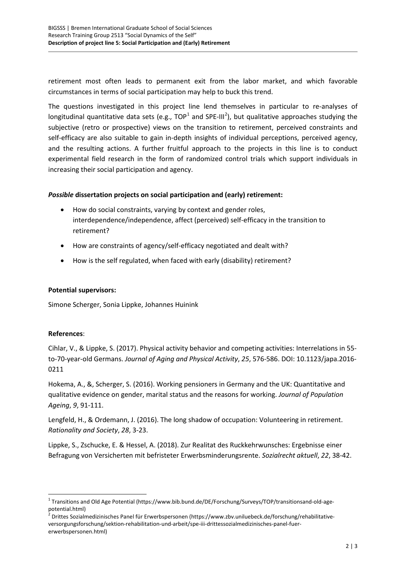retirement most often leads to permanent exit from the labor market, and which favorable circumstances in terms of social participation may help to buck this trend.

The questions investigated in this project line lend themselves in particular to re-analyses of longitudinal quantitative data sets (e.g., TOP<sup>[1](#page-1-0)</sup> and SPE-III<sup>[2](#page-1-1)</sup>), but qualitative approaches studying the subjective (retro or prospective) views on the transition to retirement, perceived constraints and self-efficacy are also suitable to gain in-depth insights of individual perceptions, perceived agency, and the resulting actions. A further fruitful approach to the projects in this line is to conduct experimental field research in the form of randomized control trials which support individuals in increasing their social participation and agency.

## *Possible* **dissertation projects on social participation and (early) retirement:**

- How do social constraints, varying by context and gender roles, interdependence/independence, affect (perceived) self-efficacy in the transition to retirement?
- How are constraints of agency/self-efficacy negotiated and dealt with?
- How is the self regulated, when faced with early (disability) retirement?

## **Potential supervisors:**

Simone Scherger, Sonia Lippke, Johannes Huinink

## **References**:

Cihlar, V., & Lippke, S. (2017). Physical activity behavior and competing activities: Interrelations in 55 to-70-year-old Germans. *Journal of Aging and Physical Activity*, *25*, 576-586. DOI: 10.1123/japa.2016- 0211

Hokema, A., &, Scherger, S. (2016). Working pensioners in Germany and the UK: Quantitative and qualitative evidence on gender, marital status and the reasons for working. *Journal of Population Ageing*, *9*, 91-111.

Lengfeld, H., & Ordemann, J. (2016). The long shadow of occupation: Volunteering in retirement. *Rationality and Society*, *28*, 3-23.

Lippke, S., Zschucke, E. & Hessel, A. (2018). Zur Realitat des Ruckkehrwunsches: Ergebnisse einer Befragung von Versicherten mit befristeter Erwerbsminderungsrente. *Sozialrecht aktuell*, *22*, 38-42.

<span id="page-1-0"></span> $1$  Transitions and Old Age Potential (https://www.bib.bund.de/DE/Forschung/Surveys/TOP/transitionsand-old-agepotential.html)

<span id="page-1-1"></span> $^2$  Drittes Sozialmedizinisches Panel für Erwerbspersonen (https://www.zbv.uniluebeck.de/forschung/rehabilitativeversorgungsforschung/sektion-rehabilitation-und-arbeit/spe-iii-drittessozialmedizinisches-panel-fuererwerbspersonen.html)